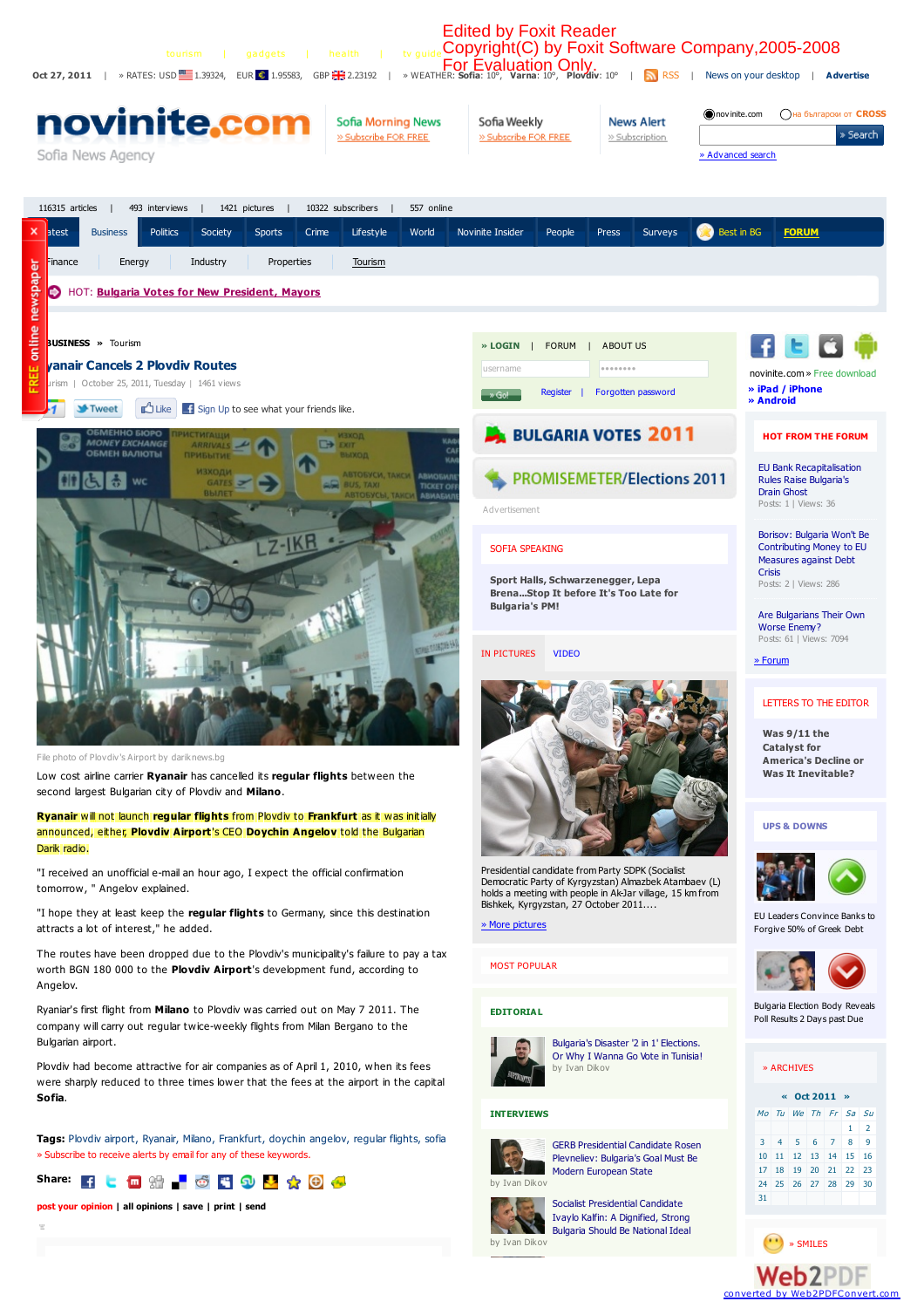

Web2PDF converted by [Web2PDFConvert.com](http://www.web2pdfconvert.com?ref=PDF)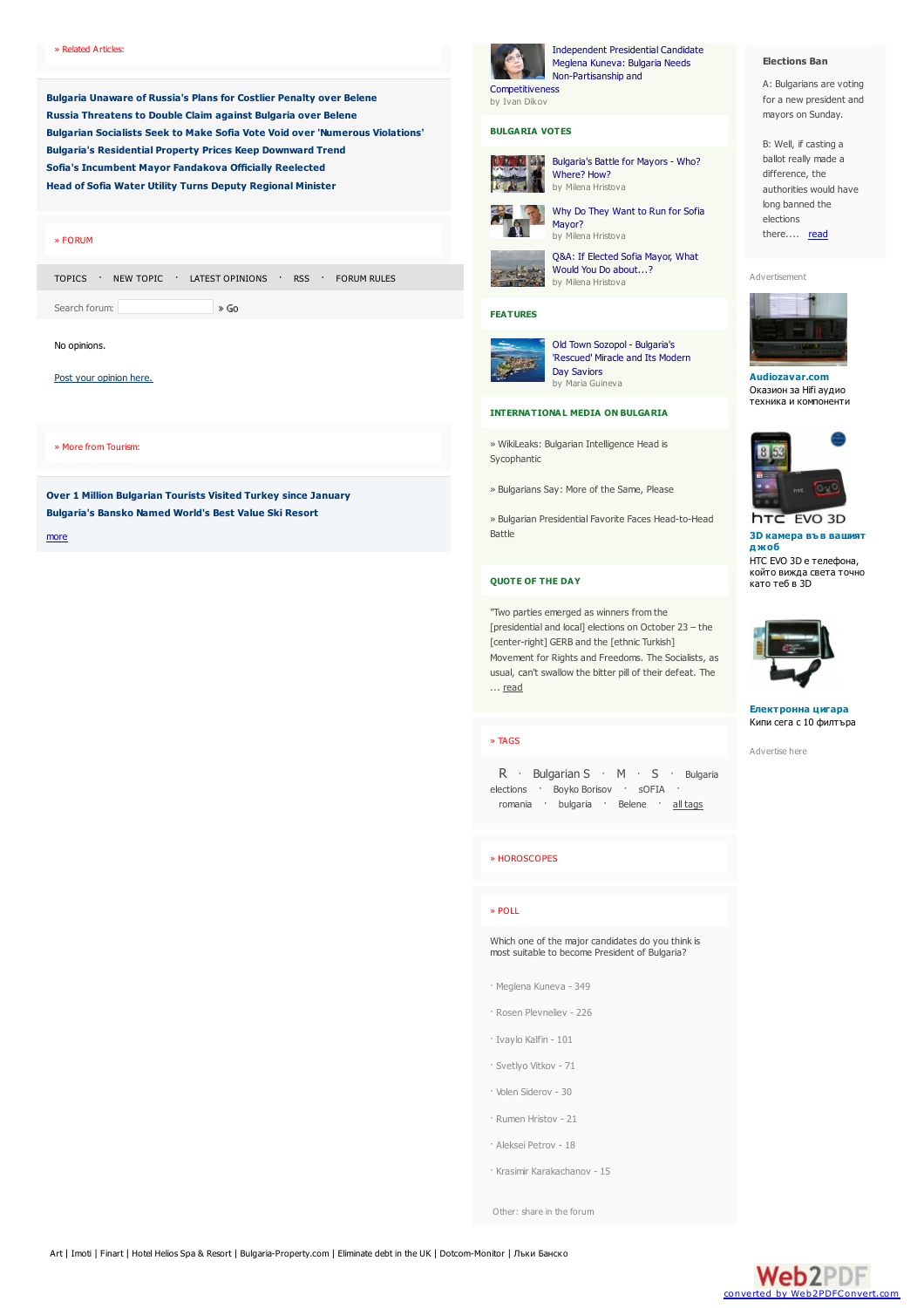**Bulgaria [Unaware](http://www.novinite.com/view_news.php?id=133354) of Russia's Plans for Costlier Penalty over Belene Russia [Threatens](http://www.novinite.com/view_news.php?id=133349) to Double Claim against Bulgaria over Belene Bulgarian Socialists Seek to Make Sofia Vote Void over ['Numerous](http://www.novinite.com/view_news.php?id=133329) Violations' Bulgaria's [Residential](http://www.novinite.com/view_news.php?id=133327) Property Prices Keep Downward Trend Sofia's [Incumbent](http://www.novinite.com/view_news.php?id=133325) Mayor Fandakova Officially Reelected Head of Sofia Water Utility Turns Deputy [Regional](http://www.novinite.com/view_news.php?id=133312) Minister**

## » [FORUM](http://www.novinite.com/view_forum.php)

[TOPICS](http://www.novinite.com/view_forum.php) · NEW [TOPIC](http://www.novinite.com/reply_forum.php) · LATEST [OPINIONS](http://www.novinite.com/search_forum.php?thequery=-) · [RSS](http://www.novinite.com/services/forum_rdf.php) · [FORUM](http://www.novinite.com/forum_rules.php) RULES  $\rightarrow$  Go

Search forum:

## No opinions.

### Post your [opinion](http://www.novinite.com/reply_forum.php?main_id=0&news_id=133301&poll_id=0) here.

» More from Tourism:

**Over 1 Million [Bulgarian](http://www.novinite.com/view_news.php?id=133322) Tourists Visited Turkey since January [Bulgaria's](http://www.novinite.com/view_news.php?id=133250) Bansko Named World's Best Value Ski Resort**

[more](http://www.novinite.com/category.php?category_id=19)

# Competitiveness

by Ivan Dikov

Independent Presidential Candidate Meglena Kuneva: Bulgaria Needs [Non-Partisanship](http://www.novinite.com/view_news.php?id=133154) and

# **BULGARIA VOTES**



[Bulgaria's](http://www.novinite.com/view_news.php?id=133159) Battle for Mayors - Who? Where? How? by Milena Hristova



Why Do They Want to Run for Sofia [Mayor?](http://www.novinite.com/view_news.php?id=133023) by Milena Hristova

Q&A: If [Elected](http://www.novinite.com/view_news.php?id=133020) Sofia Mayor, What Would You Do about...? by Milena Hristova

# **FEATURES**





#### **[INTERNATIONAL](http://www.novinite.com/category.php?category_id=10) MEDIA ON BULGARIA**

» WikiLeaks: Bulgarian [Intelligence](http://www.novinite.com/view_news.php?id=133334) Head is Sycophantic

» [Bulgarians](http://www.novinite.com/view_news.php?id=133271) Say: More of the Same, Please

» Bulgarian Presidential Favorite Faces [Head-to-Head](http://www.novinite.com/view_news.php?id=133248) Battle

## **[QUOTE](http://www.novinite.com/category.php?category_id=14) OF THE DAY**

"Two parties emerged as winners fromthe [presidential and local] elections on October 23 – the [\[center-right\]](http://www.novinite.com/view_news.php?id=133356) GERB and the [ethnic Turkish] Movement for Rights and Freedoms. The Socialists, as usual, can't swallow the bitter pill of their defeat. The ... read

# » [TAGS](http://www.novinite.com/tags.php)

[R](http://www.novinite.com/search_news.php?tag=R) · [Bulgarian](http://www.novinite.com/search_news.php?tag=Bulgaria elections) S · [M](http://www.novinite.com/search_news.php?tag=M) · [S](http://www.novinite.com/search_news.php?tag=S) · Bulgaria elections · Boyko [Borisov](http://www.novinite.com/search_news.php?tag=Boyko Borisov) · [sOFIA](http://www.novinite.com/search_news.php?tag=sOFIA) · [romania](http://www.novinite.com/search_news.php?tag=romania) · [bulgaria](http://www.novinite.com/search_news.php?tag=bulgaria) · [Belene](http://www.novinite.com/search_news.php?tag=Belene) · all [tags](http://www.novinite.com/tags.php)

## » [HOROSCOPES](http://www.novinite.com/horoscope.php)

# » [POLL](http://www.novinite.com/oppinion_get3.php)

Which one of the major candidates do you think is most suitable to become President of Bulgaria?

- · Meglena Kuneva 349
- · Rosen Plevneliev 226
- · Ivaylo Kalfin 101
- · Svetlyo Vitkov 71
- · Volen Siderov 30
- · Rumen Hristov 21
- · Aleksei Petrov 18
- · Krasimir Karakachanov 15

[Other:](http://www.novinite.com/reply_forum.php?poll_id=458) share in the forum



A: Bulgarians are voting for a new president and mayors on Sunday.

B: Well, if casting a ballot really made a difference, the authorities would have long banned the elections there.... [read](http://www.novinite.com/view_news.php?id=133209)

[Advertisement](http://www.mobilebulgaria.com/ads/)



**Audiozavar.com** [Оказион](http://www.mobilebulgaria.com/ads/click.php?id=845&site=novinite) за Hifi аудио техника и компоненти



**3D камера във вашият д жоб**

нтс EVO 3D е телефона който вижда света точно като теб в 3D



**Електронна цигара** Кипи сега с 10 [филтъра](http://www.mobilebulgaria.com/ads/click.php?id=273&site=novinite)

[Advertise](http://www.mobilebulgaria.com/ads/) here